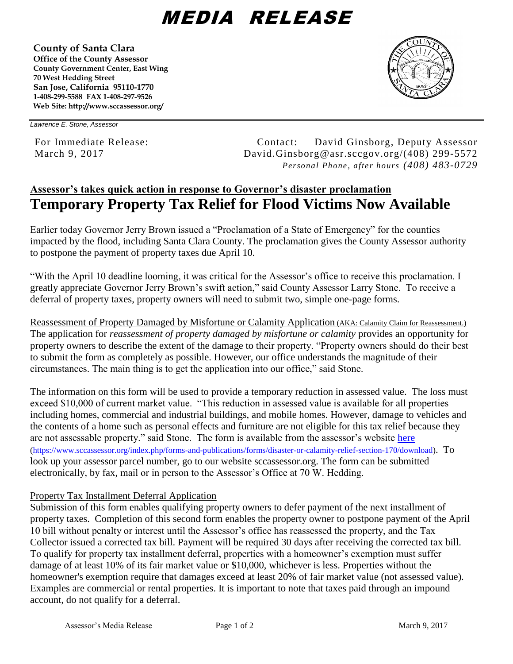## MEDIA RELEASE

**County of Santa Clara Office of the County Assessor County Government Center, East Wing 70 West Hedding Street San Jose, California 95110-1770 1-408-299-5588 FAX 1-408-297-9526 Web Site: http://www.sccassessor.org/** 



*Lawrence E. Stone, Assessor*

For Immediate Release: Contact: David Ginsborg, Deputy Assessor March 9, 2017 David.Ginsborg@asr.sccgov.org/(408) 299-5572 *Personal Phone, after hours (408) 483-0729*

## **Assessor's takes quick action in response to Governor's disaster proclamation Temporary Property Tax Relief for Flood Victims Now Available**

Earlier today Governor Jerry Brown issued a "Proclamation of a State of Emergency" for the counties impacted by the flood, including Santa Clara County. The proclamation gives the County Assessor authority to postpone the payment of property taxes due April 10.

"With the April 10 deadline looming, it was critical for the Assessor's office to receive this proclamation. I greatly appreciate Governor Jerry Brown's swift action," said County Assessor Larry Stone. To receive a deferral of property taxes, property owners will need to submit two, simple one-page forms.

Reassessment of Property Damaged by Misfortune or Calamity Application (AKA: Calamity Claim for Reassessment.) The application for *reassessment of property damaged by misfortune or calamity* provides an opportunity for property owners to describe the extent of the damage to their property. "Property owners should do their best to submit the form as completely as possible. However, our office understands the magnitude of their circumstances. The main thing is to get the application into our office," said Stone.

The information on this form will be used to provide a temporary reduction in assessed value. The loss must exceed \$10,000 of current market value. "This reduction in assessed value is available for all properties including homes, commercial and industrial buildings, and mobile homes. However, damage to vehicles and the contents of a home such as personal effects and furniture are not eligible for this tax relief because they are not assessable property." said Stone. The form is available from the assessor's website [here](https://www.sccassessor.org/index.php/forms-and-publications/forms/disaster-or-calamity-relief-section-170/download) [\(https://www.sccassessor.org/index.php/forms-and-publications/forms/disaster-or-calamity-relief-section-170/download\)](https://www.sccassessor.org/index.php/forms-and-publications/forms/disaster-or-calamity-relief-section-170/download). To look up your assessor parcel number, go to our website sccassessor.org. The form can be submitted electronically, by fax, mail or in person to the Assessor's Office at 70 W. Hedding.

## Property Tax Installment Deferral Application

Submission of this form enables qualifying property owners to defer payment of the next installment of property taxes. Completion of this second form enables the property owner to postpone payment of the April 10 bill without penalty or interest until the Assessor's office has reassessed the property, and the Tax Collector issued a corrected tax bill. Payment will be required 30 days after receiving the corrected tax bill. To qualify for property tax installment deferral, properties with a homeowner's exemption must suffer damage of at least 10% of its fair market value or \$10,000, whichever is less. Properties without the homeowner's exemption require that damages exceed at least 20% of fair market value (not assessed value). Examples are commercial or rental properties. It is important to note that taxes paid through an impound account, do not qualify for a deferral.